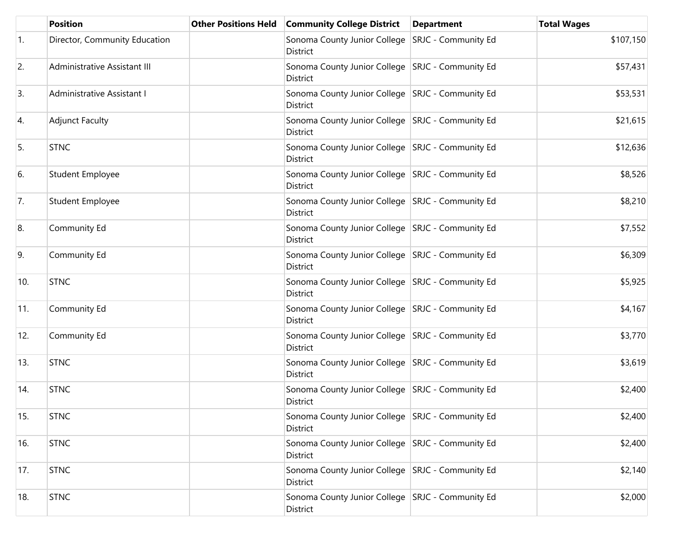|                  | <b>Position</b>               | <b>Other Positions Held</b> | <b>Community College District</b>                              | <b>Department</b> | <b>Total Wages</b> |
|------------------|-------------------------------|-----------------------------|----------------------------------------------------------------|-------------------|--------------------|
| $\overline{1}$ . | Director, Community Education |                             | Sonoma County Junior College SRJC - Community Ed<br>District   |                   | \$107,150          |
| 2.               | Administrative Assistant III  |                             | Sonoma County Junior College   SRJC - Community Ed<br>District |                   | \$57,431           |
| 3.               | Administrative Assistant I    |                             | Sonoma County Junior College   SRJC - Community Ed<br>District |                   | \$53,531           |
| 4.               | <b>Adjunct Faculty</b>        |                             | Sonoma County Junior College   SRJC - Community Ed<br>District |                   | \$21,615           |
| 5.               | <b>STNC</b>                   |                             | Sonoma County Junior College   SRJC - Community Ed<br>District |                   | \$12,636           |
| 6.               | Student Employee              |                             | Sonoma County Junior College   SRJC - Community Ed<br>District |                   | \$8,526            |
| 7.               | <b>Student Employee</b>       |                             | Sonoma County Junior College   SRJC - Community Ed<br>District |                   | \$8,210            |
| 8.               | Community Ed                  |                             | Sonoma County Junior College   SRJC - Community Ed<br>District |                   | \$7,552            |
| 9.               | Community Ed                  |                             | Sonoma County Junior College   SRJC - Community Ed<br>District |                   | \$6,309            |
| 10.              | <b>STNC</b>                   |                             | Sonoma County Junior College   SRJC - Community Ed<br>District |                   | \$5,925            |
| 11.              | Community Ed                  |                             | Sonoma County Junior College   SRJC - Community Ed<br>District |                   | \$4,167            |
| 12.              | Community Ed                  |                             | Sonoma County Junior College   SRJC - Community Ed<br>District |                   | \$3,770            |
| 13.              | <b>STNC</b>                   |                             | Sonoma County Junior College SRJC - Community Ed<br>District   |                   | \$3,619            |
| 14.              | <b>STNC</b>                   |                             | Sonoma County Junior College   SRJC - Community Ed<br>District |                   | \$2,400            |
| 15.              | <b>STNC</b>                   |                             | Sonoma County Junior College   SRJC - Community Ed<br>District |                   | \$2,400            |
| 16.              | <b>STNC</b>                   |                             | Sonoma County Junior College   SRJC - Community Ed<br>District |                   | \$2,400            |
| 17.              | <b>STNC</b>                   |                             | Sonoma County Junior College   SRJC - Community Ed<br>District |                   | \$2,140            |
| 18.              | <b>STNC</b>                   |                             | Sonoma County Junior College   SRJC - Community Ed<br>District |                   | \$2,000            |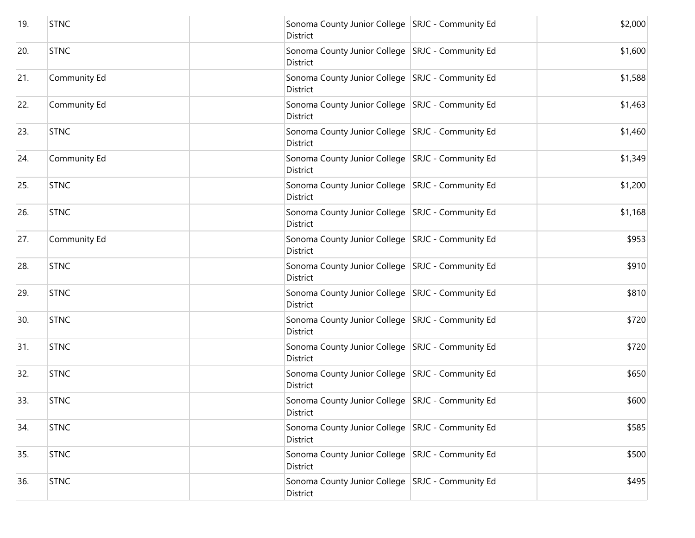| 19. | <b>STNC</b>  | Sonoma County Junior College   SRJC - Community Ed<br>District | \$2,000 |
|-----|--------------|----------------------------------------------------------------|---------|
| 20. | <b>STNC</b>  | Sonoma County Junior College   SRJC - Community Ed<br>District | \$1,600 |
| 21. | Community Ed | Sonoma County Junior College   SRJC - Community Ed<br>District | \$1,588 |
| 22. | Community Ed | Sonoma County Junior College   SRJC - Community Ed<br>District | \$1,463 |
| 23. | <b>STNC</b>  | Sonoma County Junior College   SRJC - Community Ed<br>District | \$1,460 |
| 24. | Community Ed | Sonoma County Junior College   SRJC - Community Ed<br>District | \$1,349 |
| 25. | <b>STNC</b>  | Sonoma County Junior College   SRJC - Community Ed<br>District | \$1,200 |
| 26. | <b>STNC</b>  | Sonoma County Junior College   SRJC - Community Ed<br>District | \$1,168 |
| 27. | Community Ed | Sonoma County Junior College   SRJC - Community Ed<br>District | \$953   |
| 28. | <b>STNC</b>  | Sonoma County Junior College   SRJC - Community Ed<br>District | \$910   |
| 29. | <b>STNC</b>  | Sonoma County Junior College   SRJC - Community Ed<br>District | \$810   |
| 30. | <b>STNC</b>  | Sonoma County Junior College   SRJC - Community Ed<br>District | \$720   |
| 31. | <b>STNC</b>  | Sonoma County Junior College   SRJC - Community Ed<br>District | \$720   |
| 32. | <b>STNC</b>  | Sonoma County Junior College   SRJC - Community Ed<br>District | \$650   |
| 33. | <b>STNC</b>  | Sonoma County Junior College   SRJC - Community Ed<br>District | \$600   |
| 34. | <b>STNC</b>  | Sonoma County Junior College   SRJC - Community Ed<br>District | \$585   |
| 35. | <b>STNC</b>  | Sonoma County Junior College   SRJC - Community Ed<br>District | \$500   |
| 36. | <b>STNC</b>  | Sonoma County Junior College   SRJC - Community Ed<br>District | \$495   |